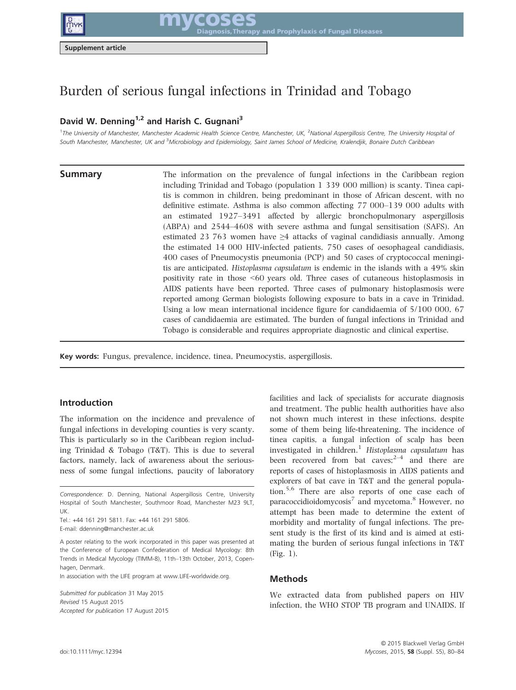

mycoses and Prophylaxis of Fungal Diseases

Supplement article

# Burden of serious fungal infections in Trinidad and Tobago

# David W. Denning<sup>1,2</sup> and Harish C. Gugnani<sup>3</sup>

<sup>1</sup>The University of Manchester, Manchester Academic Health Science Centre, Manchester, UK, <sup>2</sup>National Aspergillosis Centre, The University Hospital o*f* South Manchester, Manchester, UK and <sup>3</sup>Microbiology and Epidemiology, Saint James School of Medicine, Kralendjik, Bonaire Dutch Caribbean

**Summary** The information on the prevalence of fungal infections in the Caribbean region including Trinidad and Tobago (population 1 339 000 million) is scanty. Tinea capitis is common in children, being predominant in those of African descent, with no definitive estimate. Asthma is also common affecting 77 000–139 000 adults with an estimated 1927–3491 affected by allergic bronchopulmonary aspergillosis (ABPA) and 2544–4608 with severe asthma and fungal sensitisation (SAFS). An estimated 23 763 women have  $\geq 4$  attacks of vaginal candidiasis annually. Among the estimated 14 000 HIV-infected patients, 750 cases of oesophageal candidiasis, 400 cases of Pneumocystis pneumonia (PCP) and 50 cases of cryptococcal meningitis are anticipated. Histoplasma capsulatum is endemic in the islands with a 49% skin positivity rate in those <60 years old. Three cases of cutaneous histoplasmosis in AIDS patients have been reported. Three cases of pulmonary histoplasmosis were reported among German biologists following exposure to bats in a cave in Trinidad. Using a low mean international incidence figure for candidaemia of 5/100 000, 67 cases of candidaemia are estimated. The burden of fungal infections in Trinidad and Tobago is considerable and requires appropriate diagnostic and clinical expertise.

Key words: Fungus, prevalence, incidence, tinea, Pneumocystis, aspergillosis.

# Introduction

The information on the incidence and prevalence of fungal infections in developing counties is very scanty. This is particularly so in the Caribbean region including Trinidad & Tobago (T&T). This is due to several factors, namely, lack of awareness about the seriousness of some fungal infections, paucity of laboratory

Tel.: +44 161 291 5811. Fax: +44 161 291 5806. E-mail: ddenning@manchester.ac.uk

A poster relating to the work incorporated in this paper was presented at the Conference of European Confederation of Medical Mycology: 8th Trends in Medical Mycology (TIMM-8), 11th–13th October, 2013, Copenhagen, Denmark.

In association with the LIFE program at [www.LIFE-worldwide.org](http://www.unaids.org/en/Regionscountries/Countries/Trinidad).

Submitted for publication 31 May 2015 Revised 15 August 2015 Accepted for publication 17 August 2015 facilities and lack of specialists for accurate diagnosis and treatment. The public health authorities have also not shown much interest in these infections, despite some of them being life-threatening. The incidence of tinea capitis, a fungal infection of scalp has been investigated in children.<sup>1</sup> Histoplasma capsulatum has been recovered from bat caves; $2-4$  and there are reports of cases of histoplasmosis in AIDS patients and explorers of bat cave in T&T and the general population.5,6 There are also reports of one case each of paracoccidioidomycosis<sup>7</sup> and mycetoma.<sup>8</sup> However, no attempt has been made to determine the extent of morbidity and mortality of fungal infections. The present study is the first of its kind and is aimed at estimating the burden of serious fungal infections in T&T (Fig. 1).

### Methods

We extracted data from published papers on HIV infection, the WHO STOP TB program and UNAIDS. If

Correspondence: D. Denning, National Aspergillosis Centre, University Hospital of South Manchester, Southmoor Road, Manchester M23 9LT, UK.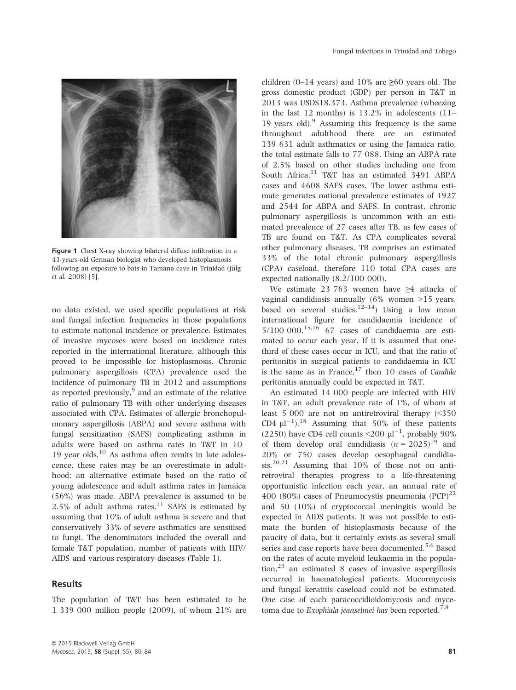

Figure 1 Chest X-ray showing bilateral diffuse infiltration in a 43-years-old German biologist who developed histoplasmosis following an exposure to bats in Tamana cave in Trinidad (Jülg et al. 2008) [5].

no data existed, we used specific populations at risk and fungal infection frequencies in those populations to estimate national incidence or prevalence. Estimates of invasive mycoses were based on incidence rates reported in the international literature, although this proved to be impossible for histoplasmosis. Chronic pulmonary aspergillosis (CPA) prevalence used the incidence of pulmonary TB in 2012 and assumptions as reported previously, $9$  and an estimate of the relative ratio of pulmonary TB with other underlying diseases associated with CPA. Estimates of allergic bronchopulmonary aspergillosis (ABPA) and severe asthma with fungal sensitization (SAFS) complicating asthma in adults were based on asthma rates in T&T in 10– 19 year olds.10 As asthma often remits in late adolescence, these rates may be an overestimate in adulthood; an alternative estimate based on the ratio of young adolescence and adult asthma rates in Jamaica (56%) was made. ABPA prevalence is assumed to be  $2.5\%$  of adult asthma rates.<sup>11</sup> SAFS is estimated by assuming that 10% of adult asthma is severe and that conservatively 33% of severe asthmatics are sensitised to fungi. The denominators included the overall and female T&T population, number of patients with HIV/ AIDS and various respiratory diseases (Table 1).

### Results

The population of T&T has been estimated to be 1 339 000 million people (2009), of whom 21% are children (0–14 years) and 10% are  $\geq 60$  years old. The gross domestic product (GDP) per person in T&T in 2013 was USD\$18,373. Asthma prevalence (wheezing in the last 12 months) is  $13.2\%$  in adolescents  $(11-$ 19 years old). Assuming this frequency is the same throughout adulthood there are an estimated 139 631 adult asthmatics or using the Jamaica ratio, the total estimate falls to 77 088. Using an ABPA rate of 2.5% based on other studies including one from South Africa,<sup>11</sup> T&T has an estimated 3491 ABPA cases and 4608 SAFS cases. The lower asthma estimate generates national prevalence estimates of 1927 and 2544 for ABPA and SAFS. In contrast, chronic pulmonary aspergillosis is uncommon with an estimated prevalence of 27 cases after TB, as few cases of TB are found on T&T. As CPA complicates several other pulmonary diseases, TB comprises an estimated 33% of the total chronic pulmonary aspergillosis (CPA) caseload, therefore 110 total CPA cases are expected nationally (8.2/100 000).

We estimate 23 763 women have ≥4 attacks of vaginal candidiasis annually  $(6\%$  women  $>15$  years, based on several studies.<sup>12–14</sup>) Using a low mean international figure for candidaemia incidence of  $5/100$  000,<sup>15,16</sup> 67 cases of candidaemia are estimated to occur each year. If it is assumed that onethird of these cases occur in ICU, and that the ratio of peritonitis in surgical patients to candidaemia in ICU is the same as in France, $17$  then 10 cases of *Candida* peritonitis annually could be expected in T&T.

An estimated 14 000 people are infected with HIV in T&T, an adult prevalence rate of 1%, of whom at least 5 000 are not on antiretroviral therapy (<350 CD4  $\mu$ <sup>-1</sup>).<sup>18</sup> Assuming that 50% of these patients (2250) have CD4 cell counts <200  $\mu$ l<sup>-1</sup>, probably 90% of them develop oral candidiasis  $(n = 2025)^{19}$  and 20% or 750 cases develop oesophageal candidiasis.<sup>20,21</sup> Assuming that  $10\%$  of those not on antiretroviral therapies progress to a life-threatening opportunistic infection each year, an annual rate of 400 (80%) cases of Pneumocystis pneumonia  $(PCP)^{22}$ and 50 (10%) of cryptococcal meningitis would be expected in AIDS patients. It was not possible to estimate the burden of histoplasmosis because of the paucity of data, but it certainly exists as several small series and case reports have been documented.<sup>5,6</sup> Based on the rates of acute myeloid leukaemia in the popula- $\[\text{tion},^{23}\]$  an estimated 8 cases of invasive aspergillosis occurred in haematological patients. Mucormycosis and fungal keratitis caseload could not be estimated. One case of each paracoccidioidomycosis and mycetoma due to Exophiala jeanselmei has been reported.<sup>7,8</sup>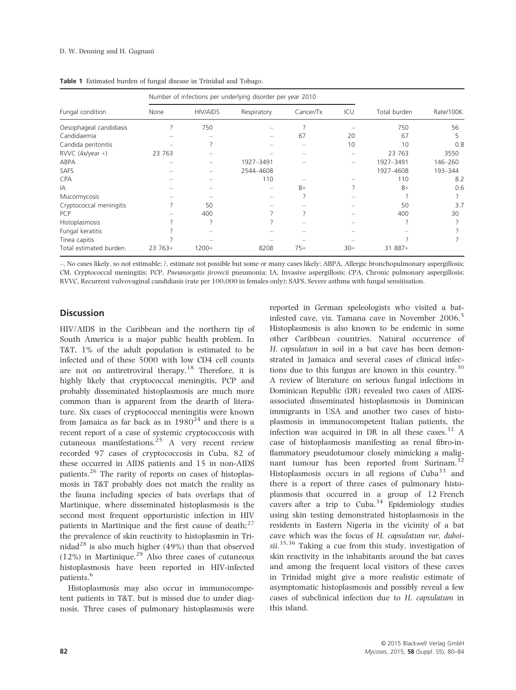| Fungal condition        | Number of infections per underlying disorder per year 2010 |                 |             |           |       |              |           |
|-------------------------|------------------------------------------------------------|-----------------|-------------|-----------|-------|--------------|-----------|
|                         | None                                                       | <b>HIV/AIDS</b> | Respiratory | Cancer/Tx | ICU   | Total burden | Rate/100K |
| Oesophageal candidiasis |                                                            | 750             |             |           |       | 750          | 56        |
| Candidaemia             |                                                            |                 |             | 67        | 20    | 67           | 5         |
| Candida peritonitis     |                                                            |                 |             |           | 10    | 10           | 0.8       |
| $RVVC$ (4x/year +)      | 23 763                                                     |                 |             |           |       | 23 763       | 3550      |
| ABPA                    |                                                            |                 | 1927-3491   |           |       | 1927-3491    | 146-260   |
| <b>SAFS</b>             |                                                            |                 | 2544-4608   |           |       | 1927-4608    | 193-344   |
| <b>CPA</b>              |                                                            |                 | 110         |           |       | 110          | 8.2       |
| IA                      |                                                            |                 |             | $8+$      |       | $8+$         | 0.6       |
| Mucormycosis            |                                                            |                 |             |           |       |              |           |
| Cryptococcal meningitis |                                                            | 50              |             |           |       | 50           | 3.7       |
| <b>PCP</b>              |                                                            | 400             |             |           |       | 400          | 30        |
| Histoplasmosis          |                                                            |                 |             |           |       |              |           |
| Fungal keratitis        |                                                            |                 |             |           |       |              |           |
| Tinea capitis           |                                                            |                 |             |           |       |              |           |
| Total estimated burden. | $23763+$                                                   | $1200+$         | 8208        | $75+$     | $30+$ | $31887+$     |           |

Table 1 Estimated burden of fungal disease in Trinidad and Tobago.

–, No cases likely, so not estimable; ?, estimate not possible but some or many cases likely; ABPA, Allergic bronchopulmonary aspergillosis; CM, Cryptococcal meningitis; PCP, Pneumocystis jirovecii pneumonia; IA, Invasive aspergillosis; CPA, Chronic pulmonary aspergillosis; RVVC, Recurrent vulvovaginal candidiasis (rate per 100,000 in females only); SAFS, Severe asthma with fungal sensitisation.

# **Discussion**

HIV/AIDS in the Caribbean and the northern tip of South America is a major public health problem. In T&T, 1% of the adult population is estimated to be infected and of these 5000 with low CD4 cell counts are not on antiretroviral therapy.<sup>18</sup> Therefore, it is highly likely that cryptococcal meningitis, PCP and probably disseminated histoplasmosis are much more common than is apparent from the dearth of literature. Six cases of cryptococcal meningitis were known from Jamaica as far back as in  $1980^{24}$  and there is a recent report of a case of systemic cryptococcosis with cutaneous manifestations. $25$  A very recent review recorded 97 cases of cryptococcosis in Cuba, 82 of these occurred in AIDS patients and 15 in non-AIDS patients.<sup>26</sup> The rarity of reports on cases of histoplasmosis in T&T probably does not match the reality as the fauna including species of bats overlaps that of Martinique, where disseminated histoplasmosis is the second most frequent opportunistic infection in HIV patients in Martinique and the first cause of death; $27$ the prevalence of skin reactivity to histoplasmin in Trinidad<sup>28</sup> is also much higher (49%) than that observed  $(12\%)$  in Martinique.<sup>29</sup> Also three cases of cutaneous histoplasmosis have been reported in HIV-infected patients.<sup>6</sup>

Histoplasmosis may also occur in immunocompetent patients in T&T, but is missed due to under diagnosis. Three cases of pulmonary histoplasmosis were reported in German speleologists who visited a batinfested cave, viz. Tamana cave in November 2006.<sup>5</sup> Histoplasmosis is also known to be endemic in some other Caribbean countries. Natural occurrence of H. capsulatum in soil in a bat cave has been demonstrated in Jamaica and several cases of clinical infections due to this fungus are known in this country.<sup>30</sup> A review of literature on serious fungal infections in Dominican Republic (DR) revealed two cases of AIDSassociated disseminated histoplasmosis in Dominican immigrants in USA and another two cases of histoplasmosis in immunocompetent Italian patients, the infection was acquired in DR in all these cases. $31$  A case of histoplasmosis manifesting as renal fibro-inflammatory pseudotumour closely mimicking a malignant tumour has been reported from Surinam.<sup>32</sup> Histoplasmosis occurs in all regions of Cuba<sup>33</sup> and there is a report of three cases of pulmonary histoplasmosis that occurred in a group of 12 French cavers after a trip to  $Cuba.<sup>34</sup>$  Epidemiology studies using skin testing demonstrated histoplasmosis in the residents in Eastern Nigeria in the vicinity of a bat cave which was the focus of H. capsulatum var, duboisii.<sup>35,36</sup> Taking a cue from this study, investigation of skin reactivity in the inhabitants around the bat caves and among the frequent local visitors of these caves in Trinidad might give a more realistic estimate of asymptomatic histoplasmosis and possibly reveal a few cases of subclinical infection due to H. capsulatum in this island.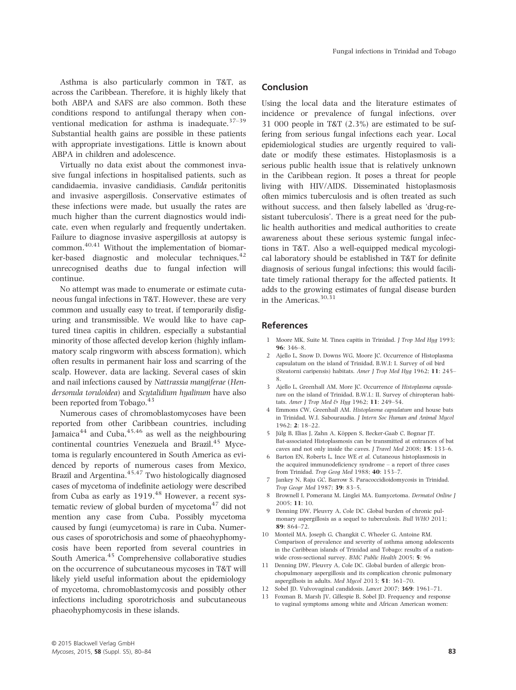Asthma is also particularly common in T&T, as across the Caribbean. Therefore, it is highly likely that both ABPA and SAFS are also common. Both these conditions respond to antifungal therapy when conventional medication for asthma is inadequate. $37-39$ Substantial health gains are possible in these patients with appropriate investigations. Little is known about ABPA in children and adolescence.

Virtually no data exist about the commonest invasive fungal infections in hospitalised patients, such as candidaemia, invasive candidiasis, Candida peritonitis and invasive aspergillosis. Conservative estimates of these infections were made, but usually the rates are much higher than the current diagnostics would indicate, even when regularly and frequently undertaken. Failure to diagnose invasive aspergillosis at autopsy is common.40,41 Without the implementation of biomarker-based diagnostic and molecular techniques,  $42$ unrecognised deaths due to fungal infection will continue.

No attempt was made to enumerate or estimate cutaneous fungal infections in T&T. However, these are very common and usually easy to treat, if temporarily disfiguring and transmissible. We would like to have captured tinea capitis in children, especially a substantial minority of those affected develop kerion (highly inflammatory scalp ringworm with abscess formation), which often results in permanent hair loss and scarring of the scalp. However, data are lacking. Several cases of skin and nail infections caused by Nattrassia mangiferae (Hendersonula toruloidea) and Scytalidium hyalinum have also been reported from Tobago.<sup>43</sup>

Numerous cases of chromoblastomycoses have been reported from other Caribbean countries, including Jamaica $^{44}$  and Cuba, $^{45,46}$  as well as the neighbouring continental countries Venezuela and Brazil.<sup>45</sup> Mycetoma is regularly encountered in South America as evidenced by reports of numerous cases from Mexico, Brazil and Argentina.<sup>45,47</sup> Two histologically diagnosed cases of mycetoma of indefinite aetiology were described from Cuba as early as  $1919<sup>48</sup>$  However, a recent systematic review of global burden of mycetoma $47$  did not mention any case from Cuba. Possibly mycetoma caused by fungi (eumycetoma) is rare in Cuba. Numerous cases of sporotrichosis and some of phaeohyphomycosis have been reported from several countries in South America.<sup>45</sup> Comprehensive collaborative studies on the occurrence of subcutaneous mycoses in T&T will likely yield useful information about the epidemiology of mycetoma, chromoblastomycosis and possibly other infections including sporotrichosis and subcutaneous phaeohyphomycosis in these islands.

# Conclusion

Using the local data and the literature estimates of incidence or prevalence of fungal infections, over 31 000 people in T&T (2.3%) are estimated to be suffering from serious fungal infections each year. Local epidemiological studies are urgently required to validate or modify these estimates. Histoplasmosis is a serious public health issue that is relatively unknown in the Caribbean region. It poses a threat for people living with HIV/AIDS. Disseminated histoplasmosis often mimics tuberculosis and is often treated as such without success, and then falsely labelled as 'drug-resistant tuberculosis'. There is a great need for the public health authorities and medical authorities to create awareness about these serious systemic fungal infections in T&T. Also a well-equipped medical mycological laboratory should be established in T&T for definite diagnosis of serious fungal infections; this would facilitate timely rational therapy for the affected patients. It adds to the growing estimates of fungal disease burden in the Americas.30,31

### References

- 1 Moore MK, Suite M. Tinea capitis in Trinidad. J Trop Med Hyg 1993; 96: 346–8.
- 2 Ajello L, Snow D, Downs WG, Moore JC. Occurrence of Histoplasma capsulatum on the island of Trinidad, B.W.I: I. Survey of oil bird (Steatorni caripensis) habitats. Amer J Trop Med Hyg 1962; 11: 245– 8.
- 3 Ajello L, Greenhall AM, More JC. Occurrence of Histoplasma capsulatum on the island of Trinidad, B.W.I.: II. Survey of chiropteran habitats. Amer J Trop Med & Hyg 1962; 11: 249-54.
- 4 Emmons CW, Greenhall AM. Histoplasma capsulatum and house bats in Trinidad, W.I. Sabouraudia. J Intern Soc Human and Animal Mycol 1962; 2: 18–22.
- 5 Jülg B, Elias J, Zahn A, Köppen S, Becker-Gaab C, Bognar JT. Bat-associated Histoplasmosis can be transmitted at entrances of bat caves and not only inside the caves. J Travel Med 2008; 15: 133–6.
- 6 Barton EN, Roberts L, Ince WE et al. Cutaneous histoplasmosis in the acquired immunodeficiency syndrome – a report of three cases from Trinidad. Trop Geog Med 1988; 40: 153–7.
- 7 Jankey N, Raju GC, Barrow S. Paracoccidioidomycosis in Trinidad. Trop Geogr Med 1987; 39: 83–5.
- 8 Brownell I, Pomeranz M, Linglei MA. Eumycetoma. Dermatol Online J 2005; 11: 10.
- 9 Denning DW, Pleuvry A, Cole DC. Global burden of chronic pulmonary aspergillosis as a sequel to tuberculosis. Bull WHO 2011; 89: 864–72.
- 10 Monteil MA, Joseph G, Changkit C, Wheeler G, Antoine RM. Comparison of prevalence and severity of asthma among adolescents in the Caribbean islands of Trinidad and Tobago: results of a nationwide cross-sectional survey. BMC Public Health 2005; 5: 96
- 11 Denning DW, Pleuvry A, Cole DC. Global burden of allergic bronchopulmonary aspergillosis and its complication chronic pulmonary aspergillsois in adults. Med Mycol 2013; 51: 361–70.
- 12 Sobel JD. Vulvovaginal candidosis. Lancet 2007; 369: 1961–71.
- 13 Foxman B, Marsh JV, Gillespie B, Sobel JD. Frequency and response to vaginal symptoms among white and African American women: